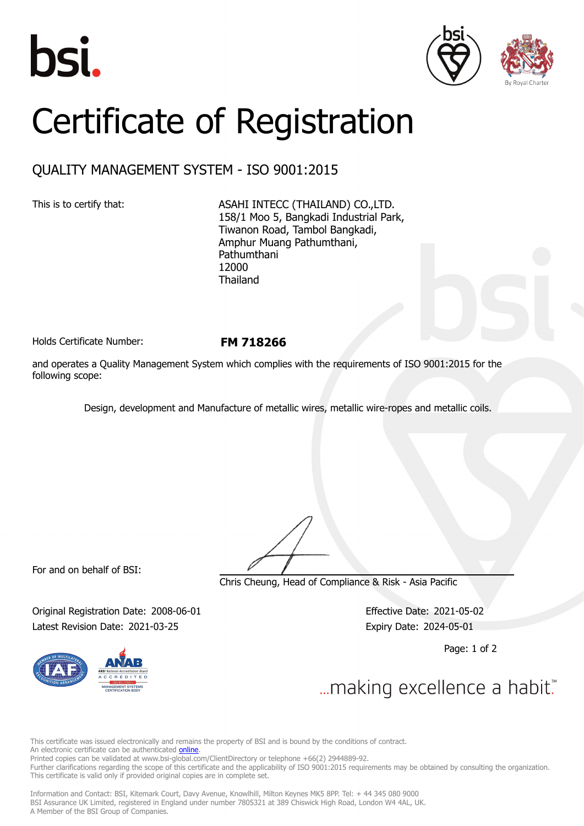





## Certificate of Registration

## QUALITY MANAGEMENT SYSTEM - ISO 9001:2015

This is to certify that: ASAHI INTECC (THAILAND) CO., LTD. 158/1 Moo 5, Bangkadi Industrial Park, Tiwanon Road, Tambol Bangkadi, Amphur Muang Pathumthani, Pathumthani 12000 Thailand

Holds Certificate Number: **FM 718266**

and operates a Quality Management System which complies with the requirements of ISO 9001:2015 for the following scope:

Design, development and Manufacture of metallic wires, metallic wire-ropes and metallic coils.

For and on behalf of BSI:

Chris Cheung, Head of Compliance & Risk - Asia Pacific

Original Registration Date: 2008-06-01 Effective Date: 2021-05-02 Latest Revision Date: 2021-03-25 Expiry Date: 2024-05-01

Page: 1 of 2



... making excellence a habit."

This certificate was issued electronically and remains the property of BSI and is bound by the conditions of contract. An electronic certificate can be authenticated **[online](https://pgplus.bsigroup.com/CertificateValidation/CertificateValidator.aspx?CertificateNumber=FM+718266&ReIssueDate=25%2f03%2f2021&Template=thailand_en)** Printed copies can be validated at www.bsi-global.com/ClientDirectory or telephone +66(2) 2944889-92.

Further clarifications regarding the scope of this certificate and the applicability of ISO 9001:2015 requirements may be obtained by consulting the organization. This certificate is valid only if provided original copies are in complete set.

Information and Contact: BSI, Kitemark Court, Davy Avenue, Knowlhill, Milton Keynes MK5 8PP. Tel: + 44 345 080 9000 BSI Assurance UK Limited, registered in England under number 7805321 at 389 Chiswick High Road, London W4 4AL, UK. A Member of the BSI Group of Companies.